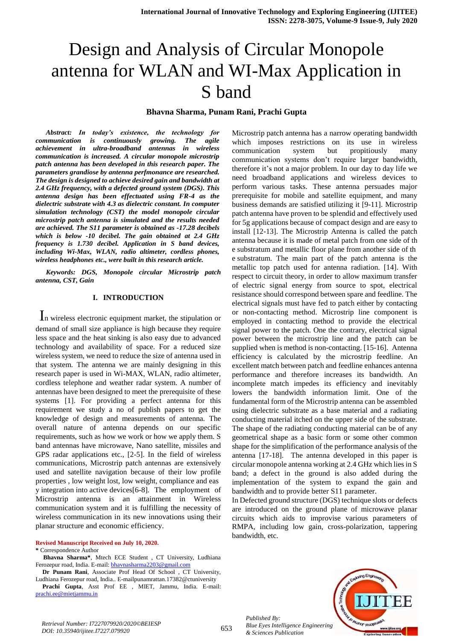# Design and Analysis of Circular Monopole antenna for WLAN and WI-Max Application in S band

#### **Bhavna Sharma, Punam Rani, Prachi Gupta**

*Abstract: In today's existence, the technology for communication is continuously growing. The agile achievement in ultra-broadband antennas in wireless communication is increased. A circular monopole microstrip patch antenna has been developed in this research paper. The parameters grandiose by antenna perfmonance are researched. The design is designed to achieve desired gain and bandwidth at 2.4 GHz frequency, with a defected ground system (DGS). This antenna design has been effectuated using FR-4 as the dielectric substrate with 4.3 as dielectric constant. In computer simulation technology (CST) the model monopole circular microstrip patch antenna is simulated and the results needed are achieved. The S11 parameter is obtained as -17.28 decibels which is below -10 decibel. The gain obtained at 2.4 GHz frequency is 1.730 decibel. Application in S band devices, including Wi-Max, WLAN, radio altimeter, cordless phones, wireless headphones etc., were built in this research article.*

*Keywords: DGS, Monopole circular Microstrip patch antenna, CST, Gain*

#### **I. INTRODUCTION**

In wireless electronic equipment market, the stipulation or demand of small size appliance is high because they require less space and the heat sinking is also easy due to advanced technology and availability of space. For a reduced size wireless system, we need to reduce the size of antenna used in that system. The antenna we are mainly designing in this research paper is used in Wi-MAX, WLAN, radio altimeter, cordless telephone and weather radar system. A number of antennas have been designed to meet the prerequisite of these systems [1]. For providing a perfect antenna for this requirement we study a no of publish papers to get the knowledge of design and measurements of antenna. The overall nature of antenna depends on our specific requirements, such as how we work or how we apply them. S band antennas have microwave, Nano satellite, missiles and GPS radar applications etc., [2-5]. In the field of wireless communications, Microstrip patch antennas are extensively used and satellite navigation because of their low profile properties , low weight lost, low weight, compliance and eas y integration into active devices[6-8]. The employment of Microstrip antenna is an attainment in Wireless communication system and it is fulfilling the necessity of wireless communication in its new innovations using their planar structure and economic efficiency.

#### **Revised Manuscript Received on July 10, 2020.**

#### **\*** Correspondence Author

**Bhavna Sharma\***, Mtech ECE Student , CT University, Ludhiana Ferozepur road, India. E-mail: [bhavnasharma2203@gmail.com](mailto:bhavnasharma2203@gmail.com)

**Dr Punam Rani**, Associate Prof Head Of School , CT University, Ludhiana Ferozepur road, India.. E-mailpunamrattan.17382@ctuniversity

**Prachi Gupta**, Asst Prof EE , MIET, Jammu, India. E-mail: [prachi.ee@mietjammu.in](mailto:prachi.ee@mietjammu.in)

Microstrip patch antenna has a narrow operating bandwidth which imposes restrictions on its use in wireless communication system but propitiously many communication systems don't require larger bandwidth, therefore it's not a major problem. In our day to day life we need broadband applications and wireless devices to perform various tasks. These antenna persuades major prerequisite for mobile and satellite equipment, and many business demands are satisfied utilizing it [9-11]. Microstrip patch antenna have proven to be splendid and effectively used for 5g applications because of compact design and are easy to install [12-13]. The Microstrip Antenna is called the patch antenna because it is made of metal patch from one side of th e substratum and metallic floor plane from another side of th e substratum. The main part of the patch antenna is the metallic top patch used for antenna radiation. [14]. With respect to circuit theory, in order to allow maximum transfer of electric signal energy from source to spot, electrical resistance should correspond between spare and feedline. The electrical signals must have fed to patch either by contacting or non-contacting method. Microstrip line component is employed in contacting method to provide the electrical signal power to the patch. One the contrary, electrical signal power between the microstrip line and the patch can be supplied when is method is non-contacting. [15-16]. Antenna efficiency is calculated by the microstrip feedline. An excellent match between patch and feedline enhances antenna performance and therefore increases its bandwidth. An incomplete match impedes its efficiency and inevitably lowers the bandwidth information limit. One of the fundamental form of the Microstrip antenna can be assembled using dielectric substrate as a base material and a radiating conducting material itched on the upper side of the substrate. The shape of the radiating conducting material can be of any geometrical shape as a basic form or some other common shape for the simplification of the performance analysis of the antenna [17-18]. The antenna developed in this paper is circular monopole antenna working at 2.4 GHz which lies in S band; a defect in the ground is also added during the implementation of the system to expand the gain and bandwidth and to provide better S11 parameter.

In Defected ground structure (DGS) technique slots or defects are introduced on the ground plane of microwave planar circuits which aids to improvise various parameters of RMPA, including low gain, cross-polarization, tappering bandwidth, etc.





*Retrieval Number: I7227079920/2020©BEIESP DOI: 10.35940/ijitee.I7227.079920*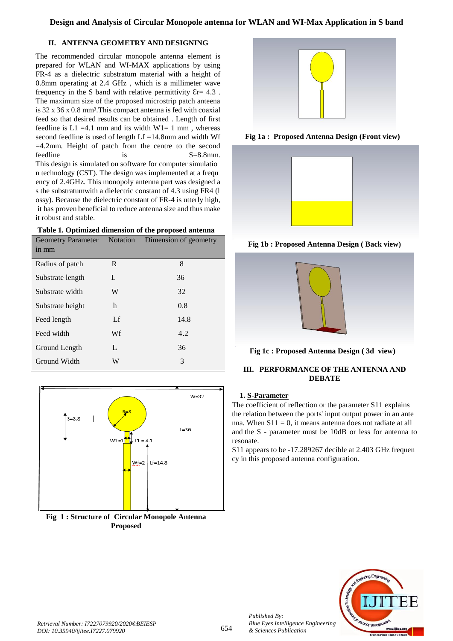# **II. ANTENNA GEOMETRY AND DESIGNING**

The recommended circular monopole antenna element is prepared for WLAN and WI-MAX applications by using FR-4 as a dielectric substratum material with a height of 0.8mm operating at 2.4 GHz , which is a millimeter wave frequency in the S band with relative permittivity  $\epsilon$ r= 4.3. The maximum size of the proposed microstrip patch anteena is  $32 \times 36 \times 0.8$  mm<sup>3</sup>. This compact antenna is fed with coaxial feed so that desired results can be obtained . Length of first feedline is  $L1 = 4.1$  mm and its width  $W1 = 1$  mm, whereas second feedline is used of length Lf =14.8mm and width Wf =4.2mm. Height of patch from the centre to the second feedline is S=8.8mm. This design is simulated on software for computer simulatio n technology (CST). The design was implemented at a frequ ency of 2.4GHz. This monopoly antenna part was designed a s the substratumwith a dielectric constant of 4.3 using FR4 (l ossy). Because the dielectric constant of FR-4 is utterly high, it has proven beneficial to reduce antenna size and thus make it robust and stable.



| Geometry Parameter Notation |    | Dimension of geometry |
|-----------------------------|----|-----------------------|
| in mm                       |    |                       |
| Radius of patch             | R  | 8                     |
| Substrate length            | L  | 36                    |
| Substrate width             | W  | 32                    |
| Substrate height            | h  | 0.8                   |
| Feed length                 | Lf | 14.8                  |
| Feed width                  | Wf | 4.2                   |
| Ground Length               | L  | 36                    |
| Ground Width                | W  | 3                     |
|                             |    |                       |



**Fig 1 : Structure of Circular Monopole Antenna Proposed**



**Fig 1a : Proposed Antenna Design (Front view)**



**Fig 1b : Proposed Antenna Design ( Back view)**



**Fig 1c : Proposed Antenna Design ( 3d view)**

# **III. PERFORMANCE OF THE ANTENNA AND DEBATE**

# **1. S-Parameter**

The coefficient of reflection or the parameter S11 explains the relation between the ports' input output power in an ante nna. When  $S11 = 0$ , it means antenna does not radiate at all and the S - parameter must be 10dB or less for antenna to resonate.

S11 appears to be -17.289267 decible at 2.403 GHz frequen cy in this proposed antenna configuration.

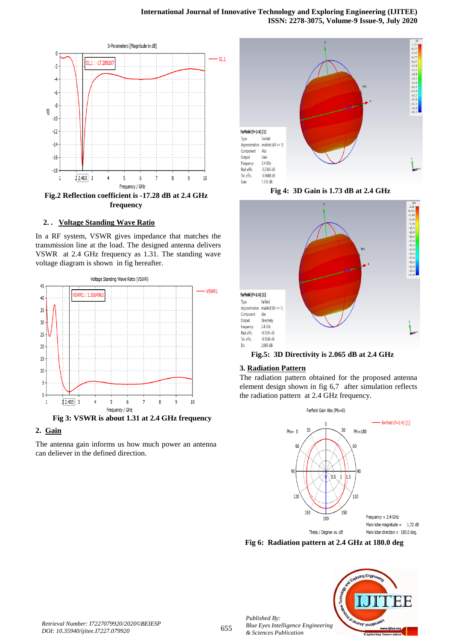

#### **2. . Voltage Standing Wave Ratio**

In a RF system, VSWR gives impedance that matches the transmission line at the load. The designed antenna delivers VSWR at 2.4 GHz frequency as 1.31. The standing wave voltage diagram is shown in fig hereafter.



**Fig 3: VSWR is about 1.31 at 2.4 GHz frequency**

## **2. Gain**

The antenna gain informs us how much power an antenna can deliever in the defined direction.



**Fig 4: 3D Gain is 1.73 dB at 2.4 GHz**



**Fig.5: 3D Directivity is 2.065 dB at 2.4 GHz**

#### **3. Radiation Pattern**

The radiation pattern obtained for the proposed antenna element design shown in fig 6,7 after simulation reflects the radiation pattern at 2.4 GHz frequency.



**Fig 6: Radiation pattern at 2.4 GHz at 180.0 deg**



*Retrieval Number: I7227079920/2020©BEIESP DOI: 10.35940/ijitee.I7227.079920*

*Published By:*

*& Sciences Publication*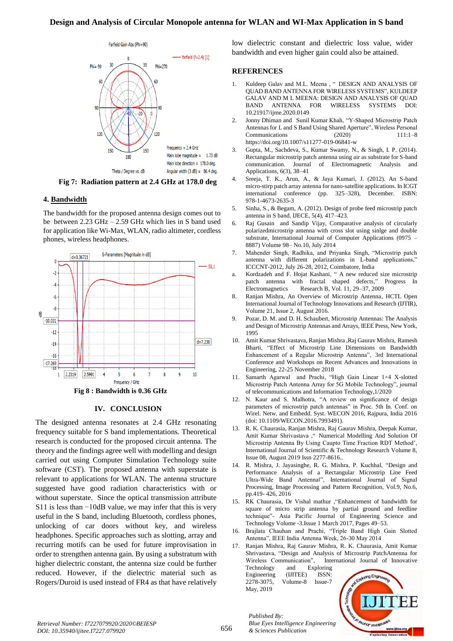## **Design and Analysis of Circular Monopole antenna for WLAN and WI-Max Application in S band**



**Fig 7: Radiation pattern at 2.4 GHz at 178.0 deg**

#### **4. Bandwidth**

The bandwidth for the proposed antenna design comes out to be between 2.23 GHz – 2.59 GHz which lies in S band used for application like Wi-Max, WLAN, radio altimeter, cordless phones, wireless headphones.



#### **IV. CONCLUSION**

The designed antenna resonates at 2.4 GHz resonating frequency suitable for S band implementations. Theoretical research is conducted for the proposed circuit antenna. The theory and the findings agree well with modelling and design carried out using Computer Simulation Technology suite software (CST). The proposed antenna with superstate is relevant to applications for WLAN. The antenna structure suggested have good radiation characteristics with or without superstate. Since the optical transmission attribute S11 is less than −10dB value, we may infer that this is very useful in the S band, including Bluetooth, cordless phones, unlocking of car doors without key, and wireless headphones. Specific approaches such as slotting, array and recurring motifs can be used for future improvisation in order to strengthen antenna gain. By using a substratum with higher dielectric constant, the antenna size could be further reduced. However, if the dielectric material such as Rogers/Duroid is used instead of FR4 as that have relatively

low dielectric constant and dielectric loss value, wider bandwidth and even higher gain could also be attained.

#### **REFERENCES**

- 1. Kuldeep Galav and M.L. Meena , " DESIGN AND ANALYSIS OF QUAD BAND ANTENNA FOR WIRELESS SYSTEMS", KULDEEP GALAV AND M L MEENA: DESIGN AND ANALYSIS OF QUAD BAND ANTENNA FOR WIRELESS SYSTEMS DOI: 10.21917/ijme.2020.0149
- 2. Jonny Dhiman and Sunil Kumar Khah, "Y‑Shaped Microstrip Patch Antennas for L and S Band Using Shared Aperture", Wireless Personal Communications (2020) 111:1–8 https://doi.org/10.1007/s11277-019-06841-w
- 3. Gupta, M., Sachdeva, S., Kumar Swamy, N., & Singh, I. P. (2014). Rectangular microstrip patch antenna using air as substrate for S-band communication. Journal of Electromagnetic Analysis and Applications, 6(3), 38–41
- 4. Sreeja, T. K., Arun, A., & Jaya Kumari, J. (2012). An S-band micro-stirp patch array antenna for nano-satellite applications. In ICGT international conference (pp. 325–328), December. ISBN: 978-1-4673-2635-3
- 5. Sinha, S., & Begam, A. (2012). Design of probe feed microstrip patch antenna in S band. IJECE, 5(4), 417–423.
- 6. Raj Gusain and Sandip Vijay, Comparative analysis of circularly polarizedmicrostrip antenna with cross slot using sinlge and double substrate, International Journal of Computer Applications (0975 – 8887) Volume 98– No.10, July 2014
- 7. Mahender Singh, Radhika, and Priyanka Singh, "Microstrip patch antenna with different polarizations in L-band applications," ICCCNT-2012, July 26-28, 2012, Coimbatore, India
- a. Kordzadeh and F. Hojat Kashani, " A new reduced size microstrip patch antenna with fractal shaped defects," Progress In Electromagnetics Research B, Vol. 11, 29–37, 2009
- 8. Ranjan Mishra, An Overview of Microstrip Antenna, HCTL Open International Journal of Technology Innovations and Research (IJTIR), Volume 21, Issue 2, August 2016.
- 9. Pozar, D. M. and D. H. Schaubert, Microstrip Antennas: The Analysis and Design of Microstrip Antennas and Arrays, IEEE Press, New York, 1995
- 10. Amit Kumar Shrivastava, Ranjan Mishra ,Raj Gaurav Mishra, Ramesh Bharti, "Effect of Microstrip Line Dimensions on Bandwidth Enhancement of a Regular Microstrip Antenna", 3rd International Conference and Workshops on Recent Advances and Innovations in Engineering, 22-25 November 2018
- 11. Samarth Agarwal and Prachi, "High Gain Linear 1×4 X-slotted Microstrip Patch Antenna Array for 5G Mobile Technology", journal of telecommunications and Information Technology,1/2020
- 12. N. Kaur and S. Malhotra, "A review on significance of design parameters of microstrip patch antennas" in Proc. 5th In. Conf. on Wirel. Netw. and Embedd. Syst. WECON 2016, Rajpura, India 2016 (doi: 10.1109/WECON.2016.7993491).
- 13. R. K. Chaurasia, Ranjan Mishra, Raj Gaurav Mishra, Deepak Kumar, Amit Kumar Shrivastava ," Numerical Modelling And Solution Of Microstrip Antenna By Using Caupto Time Fraction RDT Method', International Journal of Scientific & Technology Research Volume 8, Issue 08, August 2019 Issn 2277-8616..
- 14. R. Mishra, J. Jayasinghe, R. G. Mishra, P. Kuchhal, "Design and Performance Analysis of a Rectangular Microstrip Line Feed Ultra-Wide Band Antenna‖", International Journal of Signal Processing, Image Processing and Pattern Recognition, Vol.9, No.6, pp.419- 426, 2016
- 15. RK Chaurasia, Dr Vishal mathur ,"Enhancement of bandwidth for square of micro strip antenna by partial ground and feedline technique"- Asia Pacific Journal of Engineering Science and Technology Volume -3.Issue 1 March 2017, Pages 49–53.
- 16. Brajlata Chauhan and Prachi, "Triple Band High Gain Slotted Antenna", IEEE India Antenna Week, 26-30 May 2014

17. Ranjan Mishra, Raj Gaurav Mishra, R. K. Chaurasia, Amit Kumar Shrivastava, "Design and Analysis of Microstrip PatchAntenna for Wireless Communication", International Journal of Innovative Technology and Exploring Engineering (IJITEE) ISSN: 2278-3075, Volume-8 Issue-7

and Exploring Engin **AN AD ABILITION FELIORE** www.ijitee.org

*Retrieval Number: I7227079920/2020©BEIESP DOI: 10.35940/ijitee.I7227.079920*

*Published By: Blue Eyes Intelligence Engineering & Sciences Publication* 

May, 2019